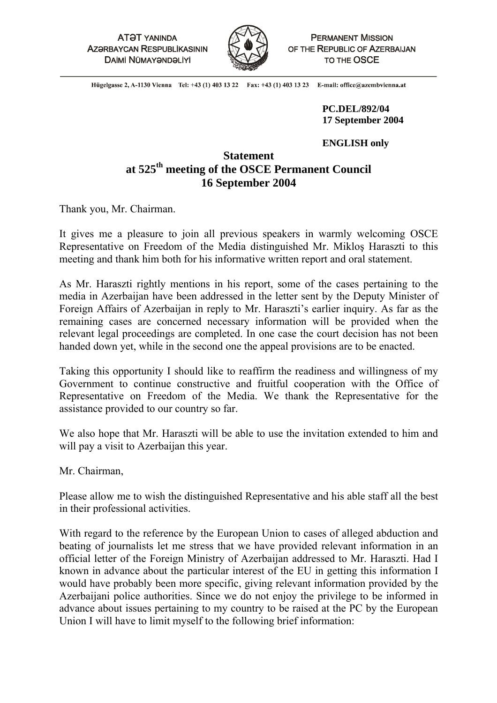**ATƏT YANINDA AZƏRBAYCAN RESPUBLIKASININ DAİMİ NÜMAYƏNDƏLİYİ** 



**PERMANENT MISSION** OF THE REPUBLIC OF AZERBAIJAN TO THE OSCE

Hügelgasse 2, A-1130 Vienna Tel: +43 (1) 403 13 22 Fax: +43 (1) 403 13 23 E-mail: office@azembvienna.at

> **PC.DEL/892/04 17 September 2004**

## **ENGLISH only**

## **Statement at 525th meeting of the OSCE Permanent Council 16 September 2004**

Thank you, Mr. Chairman.

It gives me a pleasure to join all previous speakers in warmly welcoming OSCE Representative on Freedom of the Media distinguished Mr. Mikloş Haraszti to this meeting and thank him both for his informative written report and oral statement.

As Mr. Haraszti rightly mentions in his report, some of the cases pertaining to the media in Azerbaijan have been addressed in the letter sent by the Deputy Minister of Foreign Affairs of Azerbaijan in reply to Mr. Haraszti's earlier inquiry. As far as the remaining cases are concerned necessary information will be provided when the relevant legal proceedings are completed. In one case the court decision has not been handed down yet, while in the second one the appeal provisions are to be enacted.

Taking this opportunity I should like to reaffirm the readiness and willingness of my Government to continue constructive and fruitful cooperation with the Office of Representative on Freedom of the Media. We thank the Representative for the assistance provided to our country so far.

We also hope that Mr. Haraszti will be able to use the invitation extended to him and will pay a visit to Azerbaijan this year.

Mr. Chairman,

Please allow me to wish the distinguished Representative and his able staff all the best in their professional activities.

With regard to the reference by the European Union to cases of alleged abduction and beating of journalists let me stress that we have provided relevant information in an official letter of the Foreign Ministry of Azerbaijan addressed to Mr. Haraszti. Had I known in advance about the particular interest of the EU in getting this information I would have probably been more specific, giving relevant information provided by the Azerbaijani police authorities. Since we do not enjoy the privilege to be informed in advance about issues pertaining to my country to be raised at the PC by the European Union I will have to limit myself to the following brief information: